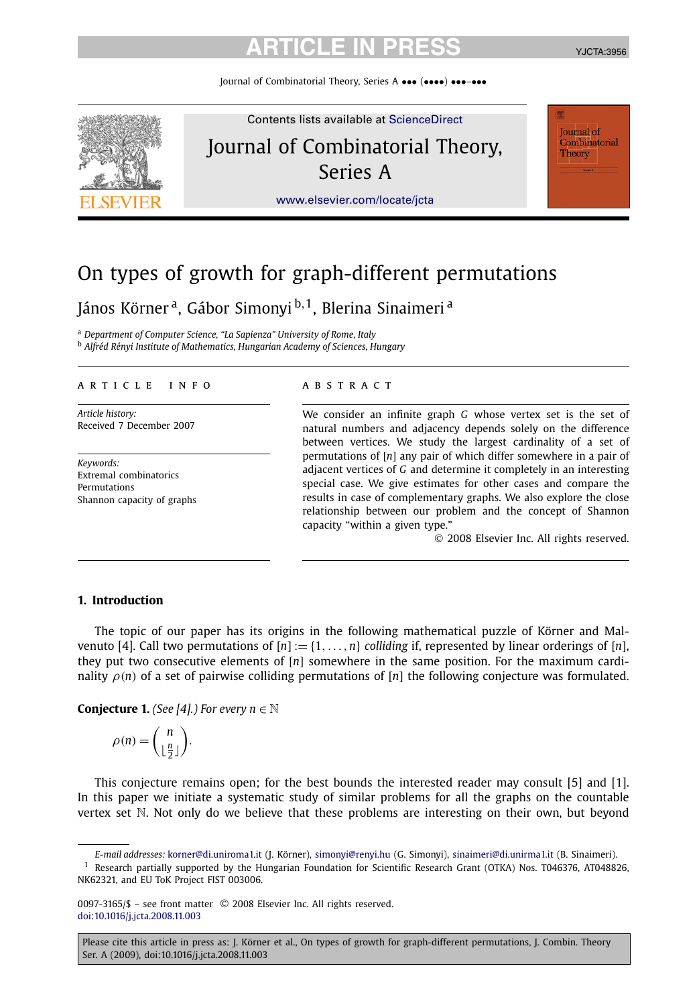Journal of Combinatorial Theory, Series A ••• (••••) •••–•••



# On types of growth for graph-different permutations

János Körner<sup>a</sup>, Gábor Simonyi <sup>b, 1</sup>, Blerina Sinaimeri<sup>a</sup>

<sup>a</sup> *Department of Computer Science, "La Sapienza" University of Rome, Italy* <sup>b</sup> *Alfréd Rényi Institute of Mathematics, Hungarian Academy of Sciences, Hungary*

#### article info abstract

*Article history:* Received 7 December 2007

*Keywords:* Extremal combinatorics Permutations Shannon capacity of graphs

We consider an infinite graph *G* whose vertex set is the set of natural numbers and adjacency depends solely on the difference between vertices. We study the largest cardinality of a set of permutations of [*n*] any pair of which differ somewhere in a pair of adjacent vertices of *G* and determine it completely in an interesting special case. We give estimates for other cases and compare the results in case of complementary graphs. We also explore the close relationship between our problem and the concept of Shannon capacity "within a given type."

© 2008 Elsevier Inc. All rights reserved.

### **1. Introduction**

The topic of our paper has its origins in the following mathematical puzzle of Körner and Malvenuto [4]. Call two permutations of  $[n] := \{1, \ldots, n\}$  *colliding* if, represented by linear orderings of [n], they put two consecutive elements of [*n*] somewhere in the same position. For the maximum cardinality  $\rho(n)$  of a set of pairwise colliding permutations of [*n*] the following conjecture was formulated.

**Conjecture 1.** *(See [4].) For every*  $n \in \mathbb{N}$ 

$$
\rho(n) = \binom{n}{\lfloor \frac{n}{2} \rfloor}.
$$

This conjecture remains open; for the best bounds the interested reader may consult [5] and [1]. In this paper we initiate a systematic study of similar problems for all the graphs on the countable vertex set N. Not only do we believe that these problems are interesting on their own, but beyond

0097-3165/\$ – see front matter © 2008 Elsevier Inc. All rights reserved. [doi:10.1016/j.jcta.2008.11.003](http://dx.doi.org/10.1016/j.jcta.2008.11.003)

*E-mail addresses:* [korner@di.uniroma1.it](mailto:korner@di.uniroma1.it) (J. Körner), [simonyi@renyi.hu](mailto:simonyi@renyi.hu) (G. Simonyi), [sinaimeri@di.unirma1.it](mailto:sinaimeri@di.unirma1.it) (B. Sinaimeri).  $1$  Research partially supported by the Hungarian Foundation for Scientific Research Grant (OTKA) Nos. T046376, AT048826, NK62321, and EU ToK Project FIST 003006.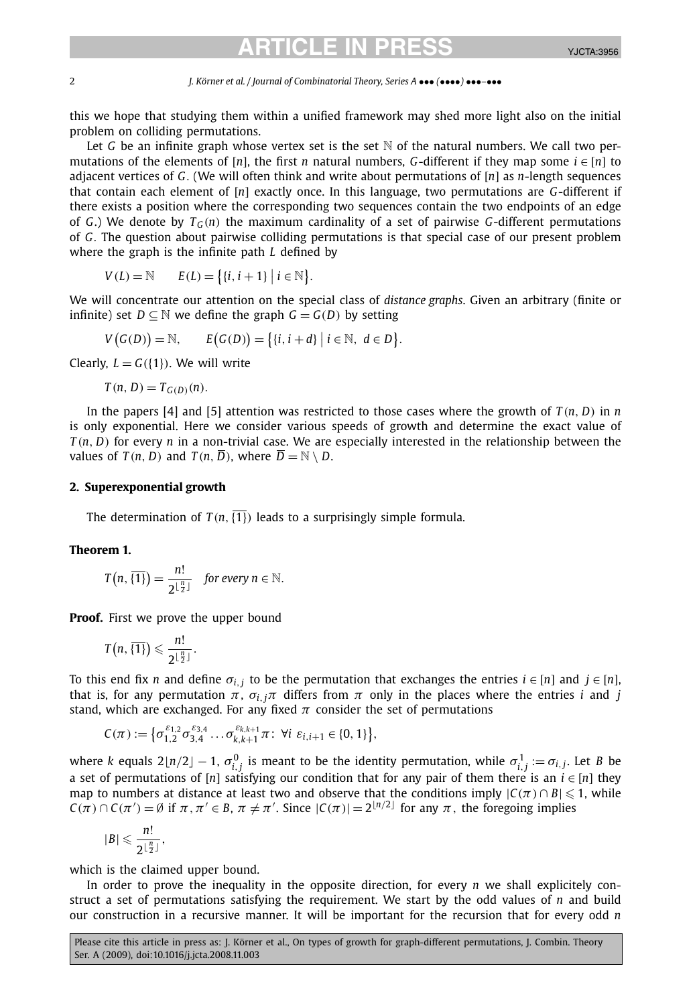#### 2 *J. Körner et al. / Journal of Combinatorial Theory, Series A* ••• *(*••••*)* •••*–*•••

this we hope that studying them within a unified framework may shed more light also on the initial problem on colliding permutations.

Let G be an infinite graph whose vertex set is the set  $\mathbb N$  of the natural numbers. We call two permutations of the elements of [*n*], the first *n* natural numbers, *G*-different if they map some  $i \in [n]$  to adjacent vertices of *G.* (We will often think and write about permutations of [*n*] as *n*-length sequences that contain each element of [*n*] exactly once. In this language, two permutations are *G*-different if there exists a position where the corresponding two sequences contain the two endpoints of an edge of *G*.) We denote by  $T_G(n)$  the maximum cardinality of a set of pairwise *G*-different permutations of *G.* The question about pairwise colliding permutations is that special case of our present problem where the graph is the infinite path *L* defined by

$$
V(L) = \mathbb{N} \qquad E(L) = \{ \{i, i+1\} \mid i \in \mathbb{N} \}.
$$

We will concentrate our attention on the special class of *distance graphs*. Given an arbitrary (finite or infinite) set  $D \subseteq \mathbb{N}$  we define the graph  $G = G(D)$  by setting

$$
V(G(D)) = \mathbb{N}, \qquad E(G(D)) = \{ \{i, i+d\} \mid i \in \mathbb{N}, d \in D \}.
$$

Clearly,  $L = G({1})$ . We will write

$$
T(n, D) = T_{G(D)}(n).
$$

In the papers [4] and [5] attention was restricted to those cases where the growth of  $T(n, D)$  in  $n$ is only exponential. Here we consider various speeds of growth and determine the exact value of *T (n, D)* for every *n* in a non-trivial case. We are especially interested in the relationship between the values of  $T(n, D)$  and  $T(n, \overline{D})$ , where  $\overline{D} = \mathbb{N} \setminus D$ .

### **2. Superexponential growth**

The determination of  $T(n, \overline{\{1\}})$  leads to a surprisingly simple formula.

### **Theorem 1.**

$$
T(n,\overline{\{1\}})=\frac{n!}{2^{\lfloor\frac{n}{2}\rfloor}} \quad \text{for every } n \in \mathbb{N}.
$$

**Proof.** First we prove the upper bound

$$
T\left(n,\,\overline{\{1\}}\right)\leqslant \frac{n!}{2^{\lfloor\frac{n}{2}\rfloor}}.
$$

To this end fix *n* and define  $\sigma_{i,j}$  to be the permutation that exchanges the entries  $i \in [n]$  and  $j \in [n]$ , that is, for any permutation  $π$ ,  $σ$ <sub>*i*, $jπ$ </sub> differs from  $π$  only in the places where the entries *i* and *j* stand, which are exchanged. For any fixed  $\pi$  consider the set of permutations

$$
C(\pi):=\big\{\sigma_{1,2}^{\varepsilon_{1,2}}\sigma_{3,4}^{\varepsilon_{3,4}}\dots\sigma_{k,k+1}^{\varepsilon_{k,k+1}}\pi\!:\ \forall i\ \varepsilon_{i,i+1}\in\{0,1\}\big\},
$$

where *k* equals 2 $\lfloor n/2 \rfloor - 1$ ,  $\sigma_{i,j}^0$  is meant to be the identity permutation, while  $\sigma_{i,j}^1 := \sigma_{i,j}.$  Let *B* be a set of permutations of [*n*] satisfying our condition that for any pair of them there is an  $i \in [n]$  they map to numbers at distance at least two and observe that the conditions imply  $|C(\pi) \cap B| \leq 1$ , while  $C(\pi) \cap C(\pi') = \emptyset$  if  $\pi, \pi' \in B$ ,  $\pi \neq \pi'$ . Since  $|C(\pi)| = 2^{\lfloor n/2 \rfloor}$  for any  $\pi$ , the foregoing implies

$$
|B| \leqslant \frac{n!}{2^{\lfloor \frac{n}{2} \rfloor}},
$$

which is the claimed upper bound.

In order to prove the inequality in the opposite direction, for every *n* we shall explicitely construct a set of permutations satisfying the requirement. We start by the odd values of *n* and build our construction in a recursive manner. It will be important for the recursion that for every odd *n*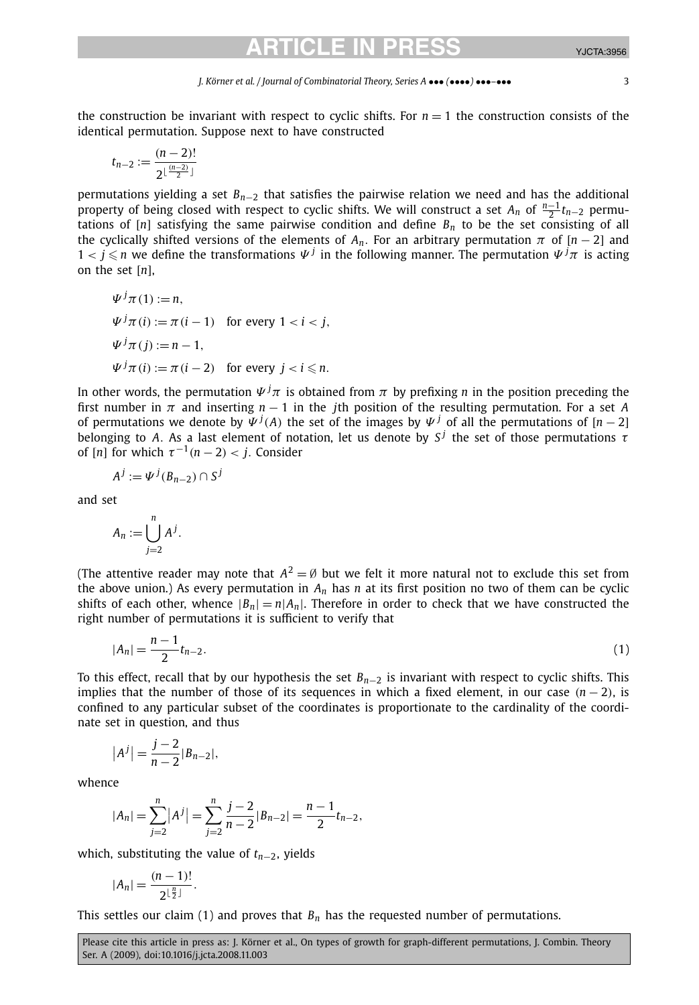#### *J. Körner et al. / Journal of Combinatorial Theory, Series A* ••• *(*••••*)* •••*–*••• 3

the construction be invariant with respect to cyclic shifts. For  $n = 1$  the construction consists of the identical permutation. Suppose next to have constructed

$$
t_{n-2}:=\frac{(n-2)!}{2^{\lfloor\frac{(n-2)}{2}\rfloor}}
$$

permutations yielding a set *Bn*−<sup>2</sup> that satisfies the pairwise relation we need and has the additional property of being closed with respect to cyclic shifts. We will construct a set  $A_n$  of  $\frac{n-1}{2}t_{n-2}$  permutations of  $[n]$  satisfying the same pairwise condition and define  $B_n$  to be the set consisting of all the cyclically shifted versions of the elements of  $A_n$ . For an arbitrary permutation  $\pi$  of  $[n-2]$  and  $1 < j \leqslant n$  we define the transformations  $\Psi^j$  in the following manner. The permutation  $\Psi^j\pi$  is acting on the set [*n*],

$$
\Psi^{j}\pi(1) := n,
$$
  
\n
$$
\Psi^{j}\pi(i) := \pi(i-1) \text{ for every } 1 < i < j,
$$
  
\n
$$
\Psi^{j}\pi(j) := n-1,
$$
  
\n
$$
\Psi^{j}\pi(i) := \pi(i-2) \text{ for every } j < i \leq n.
$$

In other words, the permutation  $\Psi^j\pi$  is obtained from  $\pi$  by prefixing  $n$  in the position preceding the first number in *π* and inserting *n* − 1 in the *j*th position of the resulting permutation. For a set *A* of permutations we denote by  $\Psi^j(A)$  the set of the images by  $\Psi^j$  of all the permutations of  $[n-2]$ belonging to *A*. As a last element of notation, let us denote by  $S^j$  the set of those permutations  $\tau$ of  $[n]$  for which  $\tau^{-1}(n-2) < j$ . Consider

$$
A^j := \Psi^j(B_{n-2}) \cap S^j
$$

and set

$$
A_n := \bigcup_{j=2}^n A^j.
$$

(The attentive reader may note that  $A^2 = \emptyset$  but we felt it more natural not to exclude this set from the above union.) As every permutation in *An* has *n* at its first position no two of them can be cyclic shifts of each other, whence  $|B_n| = n|A_n|$ . Therefore in order to check that we have constructed the right number of permutations it is sufficient to verify that

$$
|A_n| = \frac{n-1}{2}t_{n-2}.\tag{1}
$$

To this effect, recall that by our hypothesis the set *Bn*−<sup>2</sup> is invariant with respect to cyclic shifts. This implies that the number of those of its sequences in which a fixed element, in our case  $(n-2)$ , is confined to any particular subset of the coordinates is proportionate to the cardinality of the coordinate set in question, and thus

$$
|A^j| = \frac{j-2}{n-2} |B_{n-2}|,
$$

whence

$$
|A_n| = \sum_{j=2}^n |A^j| = \sum_{j=2}^n \frac{j-2}{n-2} |B_{n-2}| = \frac{n-1}{2} t_{n-2},
$$

which, substituting the value of *tn*−2, yields

$$
|A_n|=\frac{(n-1)!}{2^{\lfloor\frac{n}{2}\rfloor}}.
$$

This settles our claim (1) and proves that  $B_n$  has the requested number of permutations.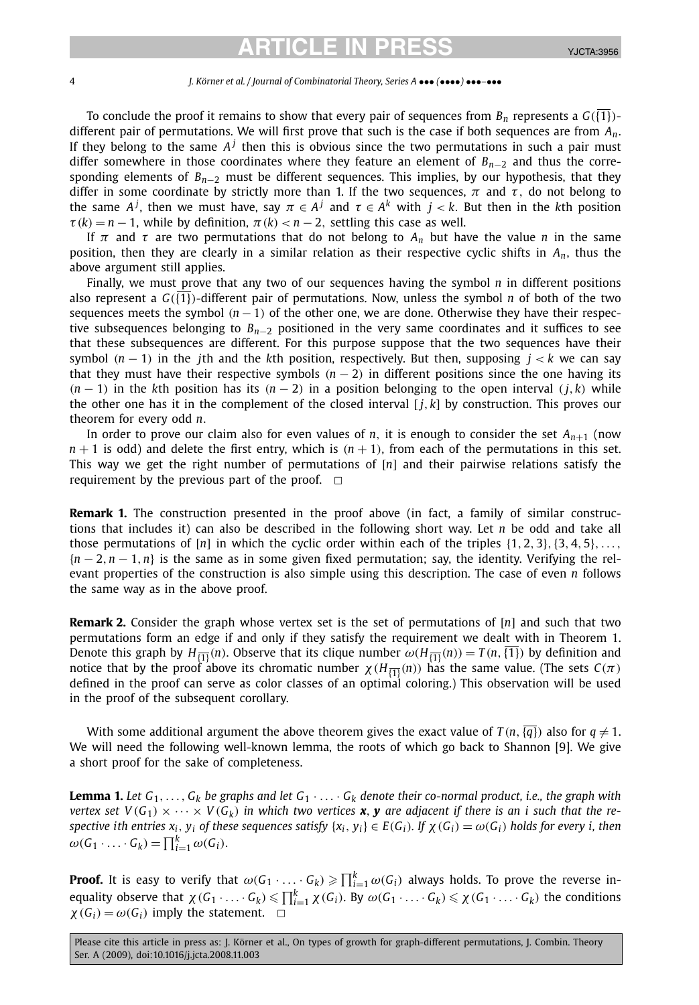#### 4 *J. Körner et al. / Journal of Combinatorial Theory, Series A* ••• *(*••••*)* •••*–*•••

To conclude the proof it remains to show that every pair of sequences from  $B_n$  represents a  $G(\overline{\{1\}})$ different pair of permutations. We will first prove that such is the case if both sequences are from *An*. If they belong to the same  $A<sup>j</sup>$  then this is obvious since the two permutations in such a pair must differ somewhere in those coordinates where they feature an element of *Bn*−<sup>2</sup> and thus the corresponding elements of *B<sub>n−2</sub>* must be different sequences. This implies, by our hypothesis, that they differ in some coordinate by strictly more than 1. If the two sequences,  $\pi$  and  $\tau$ , do not belong to the same  $A^j$ , then we must have, say  $\pi \in A^j$  and  $\tau \in A^k$  with  $j < k$ . But then in the kth position  $\tau(k) = n - 1$ , while by definition,  $\pi(k) < n - 2$ , settling this case as well.

If  $\pi$  and  $\tau$  are two permutations that do not belong to  $A_n$  but have the value *n* in the same position, then they are clearly in a similar relation as their respective cyclic shifts in *An*, thus the above argument still applies.

Finally, we must prove that any two of our sequences having the symbol *n* in different positions also represent a  $G(\overline{\{1\}})$ -different pair of permutations. Now, unless the symbol *n* of both of the two sequences meets the symbol  $(n - 1)$  of the other one, we are done. Otherwise they have their respective subsequences belonging to *Bn*−<sup>2</sup> positioned in the very same coordinates and it suffices to see that these subsequences are different. For this purpose suppose that the two sequences have their symbol  $(n - 1)$  in the *j*th and the *k*th position, respectively. But then, supposing  $j < k$  we can say that they must have their respective symbols  $(n-2)$  in different positions since the one having its  $(n-1)$  in the kth position has its  $(n-2)$  in a position belonging to the open interval  $(j, k)$  while the other one has it in the complement of the closed interval  $[i, k]$  by construction. This proves our theorem for every odd *n.*

In order to prove our claim also for even values of *n*, it is enough to consider the set  $A_{n+1}$  (now  $n+1$  is odd) and delete the first entry, which is  $(n+1)$ , from each of the permutations in this set. This way we get the right number of permutations of [*n*] and their pairwise relations satisfy the requirement by the previous part of the proof.  $\Box$ 

**Remark 1.** The construction presented in the proof above (in fact, a family of similar constructions that includes it) can also be described in the following short way. Let *n* be odd and take all those permutations of [*n*] in which the cyclic order within each of the triples {1*,* 2*,* 3}*,*{3*,* 4*,* 5}*,...,* {*n* − 2*,n* − 1*,n*} is the same as in some given fixed permutation; say, the identity. Verifying the relevant properties of the construction is also simple using this description. The case of even *n* follows the same way as in the above proof.

**Remark 2.** Consider the graph whose vertex set is the set of permutations of [*n*] and such that two permutations form an edge if and only if they satisfy the requirement we dealt with in Theorem 1. Denote this graph by  $H_{\overline{11}}(n)$ . Observe that its clique number  $\omega(H_{\overline{11}}(n)) = T(n, \overline{11})$  by definition and notice that by the proof above its chromatic number  $χ$ ( $H_{\overline{11}}(n)$ ) has the same value. (The sets  $C(π)$ defined in the proof can serve as color classes of an optimal coloring.) This observation will be used in the proof of the subsequent corollary.

With some additional argument the above theorem gives the exact value of  $T(n,{\overline{\{q\}}})$  also for  $q\neq 1.$ We will need the following well-known lemma, the roots of which go back to Shannon [9]. We give a short proof for the sake of completeness.

**Lemma 1.** Let  $G_1, \ldots, G_k$  be graphs and let  $G_1 \cdot \ldots \cdot G_k$  denote their co-normal product, i.e., the graph with *vertex set*  $V(G_1) \times \cdots \times V(G_k)$  *in which two vertices x*, *y* are adjacent if there is an *i* such that the respective ith entries  $x_i$ ,  $y_i$  of these sequences satisfy  $\{x_i, y_i\} \in E(G_i)$ . If  $\chi(G_i) = \omega(G_i)$  holds for every i, then  $\omega(G_1 \cdot \ldots \cdot G_k) = \prod_{i=1}^k \omega(G_i).$ 

**Proof.** It is easy to verify that  $\omega(G_1 \cdot \ldots \cdot G_k) \geqslant \prod_{i=1}^k \omega(G_i)$  always holds. To prove the reverse inequality observe that  $\chi(G_1 \cdot \ldots \cdot G_k) \leqslant \prod_{i=1}^k \chi(G_i)$ . By  $\omega(G_1 \cdot \ldots \cdot G_k) \leqslant \chi(G_1 \cdot \ldots \cdot G_k)$  the conditions  $\chi(G_i) = \omega(G_i)$  imply the statement.  $\Box$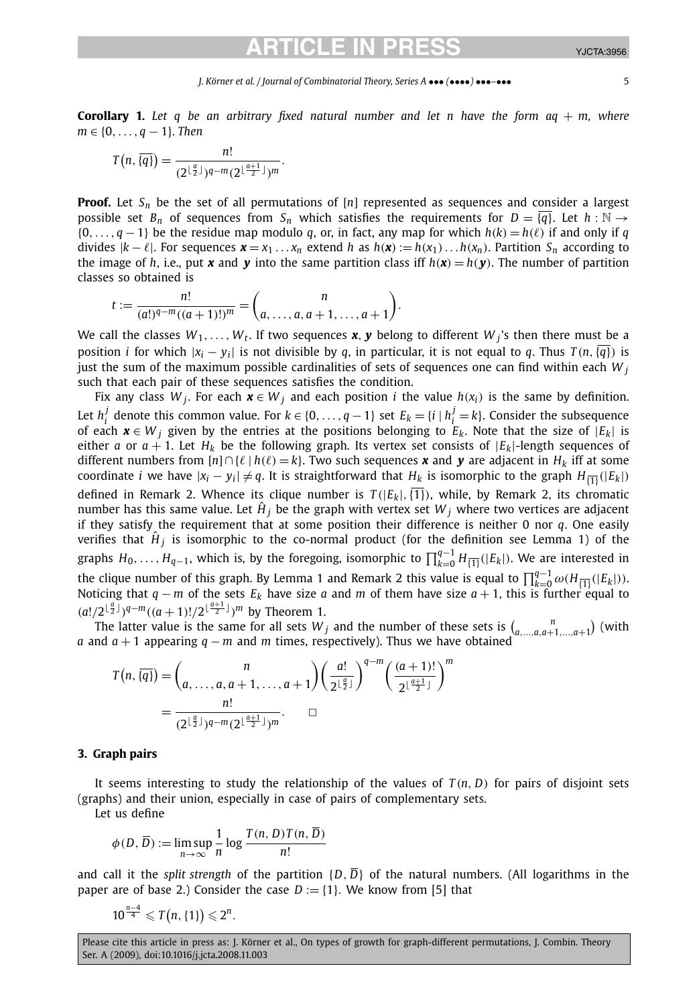#### *J. Körner et al. / Journal of Combinatorial Theory, Series A* ••• *(*••••*)* •••*–*••• 5

**Corollary 1.** *Let q be an arbitrary fixed natural number and let n have the form aq* + *m, where m* ∈ {0*,..., q* − 1}*. Then*

$$
T(n,\overline{\{q\}})=\frac{n!}{(2^{\lfloor\frac{a}{2}\rfloor})^{q-m}(2^{\lfloor\frac{a+1}{2}\rfloor})^m}.
$$

**Proof.** Let  $S_n$  be the set of all permutations of  $[n]$  represented as sequences and consider a largest possible set  $B_n$  of sequences from  $S_n$  which satisfies the requirements for  $D = \{q\}$ . Let  $h : \mathbb{N} \to$ {0*,..., q* − 1} be the residue map modulo *q*, or, in fact, any map for which *h(k)* = *h( )* if and only if *q* divides  $|k-\ell|$ . For sequences  $\mathbf{x} = x_1 \dots x_n$  extend h as  $h(\mathbf{x}) := h(x_1) \dots h(x_n)$ . Partition  $S_n$  according to the image of *h*, i.e., put **x** and **y** into the same partition class iff  $h(x) = h(y)$ . The number of partition classes so obtained is

$$
t := \frac{n!}{(a!)^{q-m}((a+1)!)^m} = {n \choose a, \dots, a, a+1, \dots, a+1}.
$$

We call the classes  $W_1, \ldots, W_t$ . If two sequences **x**, **y** belong to different  $W_i$ 's then there must be a position *i* for which  $|x_i - y_i|$  is not divisible by *q*, in particular, it is not equal to *q*. Thus  $T(n, \overline{q})$  is just the sum of the maximum possible cardinalities of sets of sequences one can find within each *W <sup>j</sup>* such that each pair of these sequences satisfies the condition.

Fix any class *W*<sub>*j*</sub>. For each  $\mathbf{x} \in W_j$  and each position *i* the value  $h(x_i)$  is the same by definition. Let  $h_i^j$  denote this common value. For  $k \in \{0, ..., q - 1\}$  set  $E_k = \{i \mid h_i^j = k\}$ . Consider the subsequence of each  $x \in W_i$  given by the entries at the positions belonging to  $E_k$ . Note that the size of  $|E_k|$  is either *a* or  $a + 1$ . Let  $H_k$  be the following graph. Its vertex set consists of  $|E_k|$ -length sequences of different numbers from [*n*]∩{ | *h( )* = *k*}. Two such sequences *x* and *y* are adjacent in *Hk* iff at some coordinate *i* we have  $|x_i - y_i| \neq q$ . It is straightforward that  $H_k$  is isomorphic to the graph  $H_{\overline{\{1\}}}(|E_k|)$ defined in Remark 2. Whence its clique number is  $T(|E_k|, \overline{\{1\}})$ , while, by Remark 2, its chromatic number has this same value. Let  $\hat{H}_i$  be the graph with vertex set  $W_i$  where two vertices are adjacent if they satisfy the requirement that at some position their difference is neither 0 nor *q*. One easily verifies that  $\hat{H}_i$  is isomorphic to the co-normal product (for the definition see Lemma 1) of the graphs  $H_0,\ldots,H_{q-1}$ , which is, by the foregoing, isomorphic to  $\prod_{k=0}^{q-1}H_{\{\overline{1}\}}(|E_k|).$  We are interested in the clique number of this graph. By Lemma 1 and Remark 2 this value is equal to  $\prod_{k=0}^{q-1} \omega(H_{\overline{1}|}(|E_k|))$ . Noticing that *q* − *m* of the sets  $E_k$  have size *a* and *m* of them have size *a* + 1, this is further equal to  $(a!/2^{\lfloor \frac{a}{2} \rfloor})^{q-m}((a+1)!/2^{\lfloor \frac{a+1}{2} \rfloor})^m$  by Theorem 1.

The latter value is the same for all sets  $W_j$  and the number of these sets is  $\binom{n}{a,\dots,a,a+1,\dots,a+1}$  (with *a* and *a* + 1 appearing *q* − *m* and *m* times, respectively). Thus we have obtained

$$
T(n, \overline{\{q\}}) = {n \choose a, \ldots, a, a+1, \ldots, a+1} \left(\frac{a!}{2^{\lfloor \frac{a}{2} \rfloor}}\right)^{q-m} \left(\frac{(a+1)!}{2^{\lfloor \frac{a+1}{2} \rfloor}}\right)^m
$$

$$
= \frac{n!}{(2^{\lfloor \frac{a}{2} \rfloor})^{q-m} (2^{\lfloor \frac{a+1}{2} \rfloor})^m} \qquad \Box
$$

### **3. Graph pairs**

It seems interesting to study the relationship of the values of  $T(n, D)$  for pairs of disjoint sets (graphs) and their union, especially in case of pairs of complementary sets.

Let us define

$$
\phi(D, \overline{D}) := \limsup_{n \to \infty} \frac{1}{n} \log \frac{T(n, D)T(n, D)}{n!}
$$

and call it the *split strength* of the partition  $\{D, \overline{D}\}$  of the natural numbers. (All logarithms in the paper are of base 2.) Consider the case  $D := \{1\}$ . We know from [5] that

$$
10^{\frac{n-4}{4}}\leqslant T(n,\{1\})\leqslant 2^n.
$$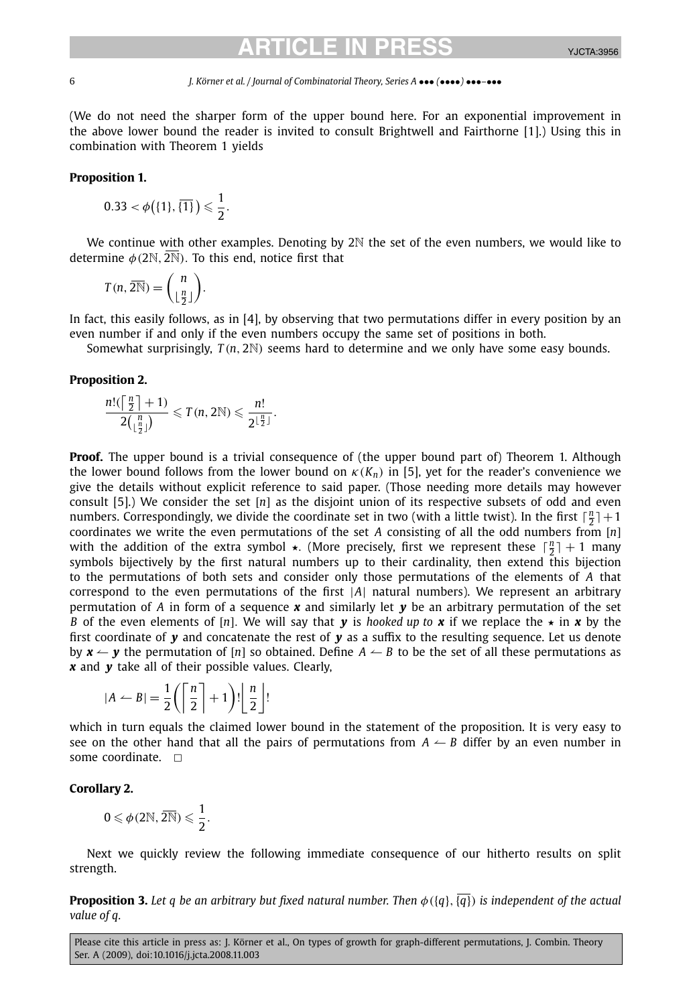### 6 *J. Körner et al. / Journal of Combinatorial Theory, Series A* ••• *(*••••*)* •••*–*•••

(We do not need the sharper form of the upper bound here. For an exponential improvement in the above lower bound the reader is invited to consult Brightwell and Fairthorne [1].) Using this in combination with Theorem 1 yields

#### **Proposition 1.**

$$
0.33 < \phi\big(\{1\},\overline{\{1\}}\big) \leqslant \frac{1}{2}.
$$

We continue with other examples. Denoting by 2N the set of the even numbers, we would like to determine  $\phi$ (2N,  $\overline{2N}$ ). To this end, notice first that

$$
T(n, 2\overline{\mathbb{N}}) = \binom{n}{\lfloor \frac{n}{2} \rfloor}.
$$

In fact, this easily follows, as in [4], by observing that two permutations differ in every position by an even number if and only if the even numbers occupy the same set of positions in both.

Somewhat surprisingly, *T (n,* 2N*)* seems hard to determine and we only have some easy bounds.

### **Proposition 2.**

$$
\frac{n! \left(\lceil \frac{n}{2} \rceil + 1\right)}{2\left(\lfloor \frac{n}{2} \rfloor\right)} \leqslant T(n, 2\mathbb{N}) \leqslant \frac{n!}{2^{\lfloor \frac{n}{2} \rfloor}}.
$$

**Proof.** The upper bound is a trivial consequence of (the upper bound part of) Theorem 1. Although the lower bound follows from the lower bound on  $\kappa(K_n)$  in [5], yet for the reader's convenience we give the details without explicit reference to said paper. (Those needing more details may however consult [5].) We consider the set [*n*] as the disjoint union of its respective subsets of odd and even numbers. Correspondingly, we divide the coordinate set in two (with a little twist). In the first  $\lceil \frac{n}{2} \rceil + 1$ coordinates we write the even permutations of the set *A* consisting of all the odd numbers from [*n*] with the addition of the extra symbol  $\star$ . (More precisely, first we represent these  $\lceil \frac{n}{2} \rceil + 1$  many symbols bijectively by the first natural numbers up to their cardinality, then extend this bijection to the permutations of both sets and consider only those permutations of the elements of *A* that correspond to the even permutations of the first |*A*| natural numbers). We represent an arbitrary permutation of *A* in form of a sequence *x* and similarly let *y* be an arbitrary permutation of the set *B* of the even elements of [*n*]. We will say that *y* is *hooked up to x* if we replace the  $\star$  in *x* by the first coordinate of *y* and concatenate the rest of *y* as a suffix to the resulting sequence. Let us denote by  $x \leftarrow y$  the permutation of [*n*] so obtained. Define  $A \leftarrow B$  to be the set of all these permutations as *x* and *y* take all of their possible values. Clearly,

$$
|A \leftarrow B| = \frac{1}{2} \left( \left\lceil \frac{n}{2} \right\rceil + 1 \right)! \left\lfloor \frac{n}{2} \right\rfloor!
$$

which in turn equals the claimed lower bound in the statement of the proposition. It is very easy to see on the other hand that all the pairs of permutations from  $A \leftarrow B$  differ by an even number in some coordinate.  $\Box$ 

### **Corollary 2.**

$$
0\leqslant \phi(2\mathbb{N},\overline{2\mathbb{N}})\leqslant \frac{1}{2}.
$$

Next we quickly review the following immediate consequence of our hitherto results on split strength.

**Proposition 3.** *Let q be an arbitrary but fixed natural number. Then φ(*{*q*}*,*{*q*}*) is independent of the actual value of q.*

Please cite this article in press as: J. Körner et al., On types of growth for graph-different permutations, J. Combin. Theory Ser. A (2009), doi:10.1016/j.jcta.2008.11.003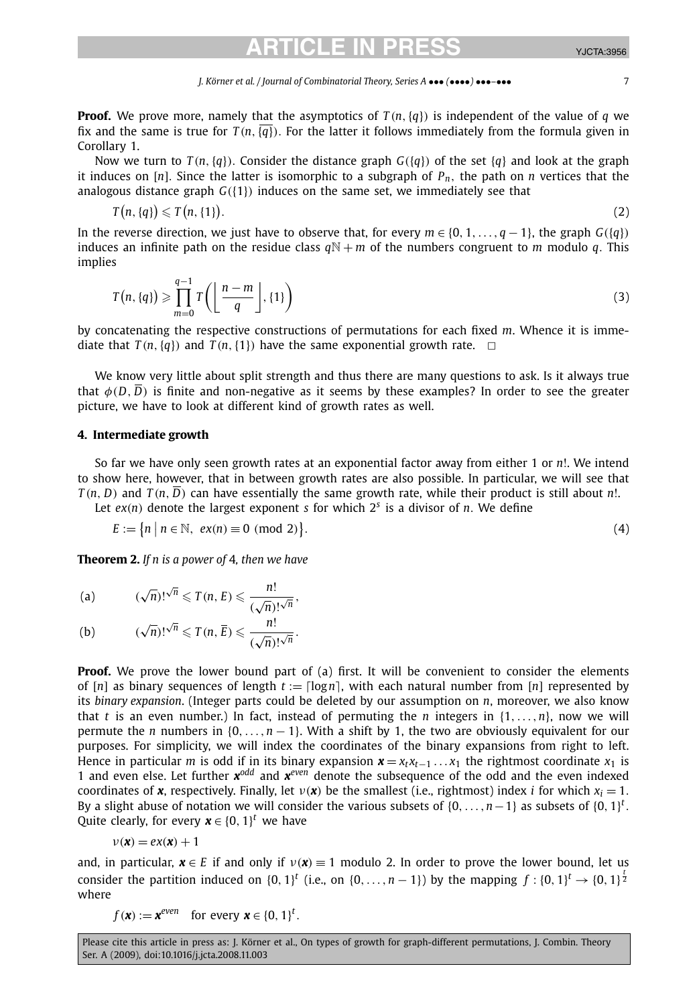**Proof.** We prove more, namely that the asymptotics of  $T(n, \{q\})$  is independent of the value of *q* we fix and the same is true for  $T(n, \{q\})$ . For the latter it follows immediately from the formula given in Corollary 1.

Now we turn to  $T(n, \{q\})$ . Consider the distance graph  $G(\{q\})$  of the set  $\{q\}$  and look at the graph it induces on [*n*]. Since the latter is isomorphic to a subgraph of  $P_n$ , the path on *n* vertices that the analogous distance graph *G(*{1}*)* induces on the same set, we immediately see that

$$
T(n,\{q\})\leqslant T(n,\{1\}).
$$

$$
\tag{2}
$$

In the reverse direction, we just have to observe that, for every  $m \in \{0, 1, \ldots, q - 1\}$ , the graph  $G({q})$ induces an infinite path on the residue class  $qN + m$  of the numbers congruent to *m* modulo *q*. This implies

$$
T(n, \{q\}) \geqslant \prod_{m=0}^{q-1} T\left(\left\lfloor \frac{n-m}{q} \right\rfloor, \{1\}\right) \tag{3}
$$

by concatenating the respective constructions of permutations for each fixed *m*. Whence it is immediate that  $T(n, \{q\})$  and  $T(n, \{1\})$  have the same exponential growth rate.  $\Box$ 

We know very little about split strength and thus there are many questions to ask. Is it always true that  $\phi(D, \overline{D})$  is finite and non-negative as it seems by these examples? In order to see the greater picture, we have to look at different kind of growth rates as well.

### **4. Intermediate growth**

So far we have only seen growth rates at an exponential factor away from either 1 or *n*!. We intend to show here, however, that in between growth rates are also possible. In particular, we will see that  $T(n, D)$  and  $T(n, \overline{D})$  can have essentially the same growth rate, while their product is still about *n*!.

Let  $ex(n)$  denote the largest exponent *s* for which  $2<sup>s</sup>$  is a divisor of *n*. We define

$$
E := \{ n \mid n \in \mathbb{N}, \ \text{ex}(n) \equiv 0 \ \text{(mod 2)} \}. \tag{4}
$$

**Theorem 2.** *If n is a power of* 4*, then we have*

(a) 
$$
(\sqrt{n})!^{\sqrt{n}} \leq T(n, E) \leq \frac{n!}{(\sqrt{n})!^{\sqrt{n}}},
$$

(b) 
$$
(\sqrt{n})!^{\sqrt{n}} \leq T(n, \overline{E}) \leq \frac{n!}{(\sqrt{n})!^{\sqrt{n}}}
$$

**Proof.** We prove the lower bound part of (a) first. It will be convenient to consider the elements of  $[n]$  as binary sequences of length  $t := \lfloor \log n \rfloor$ , with each natural number from  $[n]$  represented by its *binary expansion*. (Integer parts could be deleted by our assumption on *n*, moreover, we also know that *t* is an even number.) In fact, instead of permuting the *n* integers in  $\{1, \ldots, n\}$ , now we will permute the *n* numbers in  $\{0, \ldots, n-1\}$ . With a shift by 1, the two are obviously equivalent for our purposes. For simplicity, we will index the coordinates of the binary expansions from right to left. Hence in particular *m* is odd if in its binary expansion  $\mathbf{x} = x_t x_{t-1} \dots x_1$  the rightmost coordinate  $x_1$  is 1 and even else. Let further *xodd* and *xeven* denote the subsequence of the odd and the even indexed coordinates of **x**, respectively. Finally, let  $v(x)$  be the smallest (i.e., rightmost) index *i* for which  $x_i = 1$ . By a slight abuse of notation we will consider the various subsets of  $\{0,\ldots,n-1\}$  as subsets of  $\{0,1\}^t$ . Quite clearly, for every  $\boldsymbol{x} \in \{0,1\}^t$  we have

$$
\nu(\pmb{x})=e\pmb{x}(\pmb{x})+1
$$

and, in particular,  $\mathbf{x} \in E$  if and only if  $v(\mathbf{x}) \equiv 1$  modulo 2. In order to prove the lower bound, let us consider the partition induced on  $\{0,1\}^t$  (i.e., on  $\{0,\ldots,n-1\}$ ) by the mapping  $f:\{0,1\}^t \to \{0,1\}^{\frac{t}{2}}$ where

 $f(\mathbf{x}) := \mathbf{x}^{even}$  for every  $\mathbf{x} \in \{0, 1\}^t$ .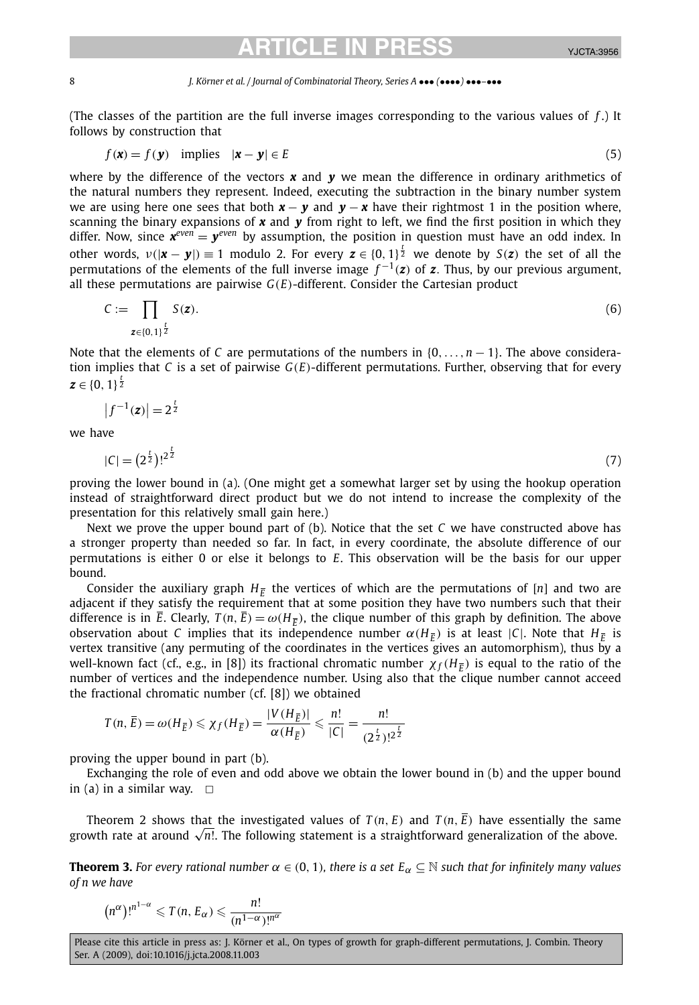#### 8 *J. Körner et al. / Journal of Combinatorial Theory, Series A* ••• *(*••••*)* •••*–*•••

(The classes of the partition are the full inverse images corresponding to the various values of *f* .) It follows by construction that

$$
f(\mathbf{x}) = f(\mathbf{y}) \quad \text{implies} \quad |\mathbf{x} - \mathbf{y}| \in E \tag{5}
$$

where by the difference of the vectors  $x$  and  $y$  we mean the difference in ordinary arithmetics of the natural numbers they represent. Indeed, executing the subtraction in the binary number system we are using here one sees that both  $x - y$  and  $y - x$  have their rightmost 1 in the position where, scanning the binary expansions of  $x$  and  $y$  from right to left, we find the first position in which they differ. Now, since  $x^{even} = y^{even}$  by assumption, the position in question must have an odd index. In other words,  $\nu(|\mathbf{x}-\mathbf{y}|) \equiv 1$  modulo 2. For every  $\mathbf{z} \in \{0,1\}^{\frac{t}{2}}$  we denote by  $S(\mathbf{z})$  the set of all the permutations of the elements of the full inverse image  $f^{-1}(z)$  of  $z$ *,* Thus, by our previous argument, all these permutations are pairwise *G(E)*-different. Consider the Cartesian product

$$
C := \prod_{z \in \{0,1\}^{\frac{t}{2}}} S(z). \tag{6}
$$

Note that the elements of *C* are permutations of the numbers in {0*,...,n* − 1}. The above consideration implies that *C* is a set of pairwise *G(E)*-different permutations. Further, observing that for every  $\boldsymbol{z} \in \{0,\,1\}^{\frac{t}{2}}$ 

$$
\left|f^{-1}(\mathbf{z})\right| = 2^{\frac{t}{2}}
$$

we have

$$
|C| = (2^{\frac{t}{2}})^{t^2} \tag{7}
$$

proving the lower bound in (a). (One might get a somewhat larger set by using the hookup operation instead of straightforward direct product but we do not intend to increase the complexity of the presentation for this relatively small gain here.)

Next we prove the upper bound part of (b). Notice that the set *C* we have constructed above has a stronger property than needed so far. In fact, in every coordinate, the absolute difference of our permutations is either 0 or else it belongs to *E*. This observation will be the basis for our upper bound.

Consider the auxiliary graph  $H_{\bar{F}}$  the vertices of which are the permutations of [*n*] and two are adjacent if they satisfy the requirement that at some position they have two numbers such that their difference is in  $\bar{E}$ . Clearly,  $T(n,\bar{E}) = \omega(H_{\bar{E}})$ , the clique number of this graph by definition. The above observation about *C* implies that its independence number  $\alpha$ (*H<sub>F</sub>*) is at least |*C*|. Note that *H<sub>F</sub>* is vertex transitive (any permuting of the coordinates in the vertices gives an automorphism), thus by a well-known fact (cf., e.g., in [8]) its fractional chromatic number  $\chi_f(H_{\overline{F}})$  is equal to the ratio of the number of vertices and the independence number. Using also that the clique number cannot acceed the fractional chromatic number (cf. [8]) we obtained

$$
T(n, \overline{E}) = \omega(H_{\overline{E}}) \leq \chi_f(H_{\overline{E}}) = \frac{|V(H_{\overline{E}})|}{\alpha(H_{\overline{E}})} \leq \frac{n!}{|C|} = \frac{n!}{(2^{\frac{t}{2}})!^{2^{\frac{t}{2}}}}
$$

proving the upper bound in part (b).

Exchanging the role of even and odd above we obtain the lower bound in (b) and the upper bound in (a) in a similar way.  $\Box$ 

Theorem 2 shows that the investigated values of  $T(n, E)$  and  $T(n, \overline{E})$  have essentially the same neorem 2 snows that the investigated values of  $I(n, E)$  and  $I(n, E)$  have essentially the same growth rate at around  $\sqrt{n!}$ . The following statement is a straightforward generalization of the above.

**Theorem 3.** *For every rational number*  $\alpha \in (0, 1)$ *, there is a set*  $E_\alpha \subseteq \mathbb{N}$  *such that for infinitely many values of n we have*

$$
(n^{\alpha})!^{n^{1-\alpha}} \leqslant T(n, E_{\alpha}) \leqslant \frac{n!}{(n^{1-\alpha})!^{n^{\alpha}}}
$$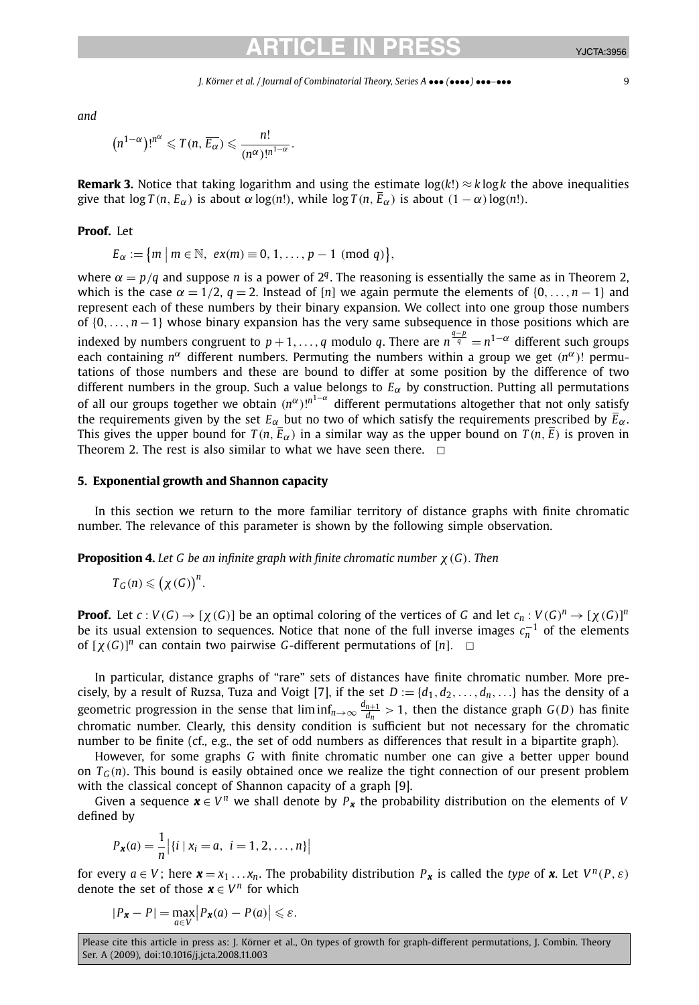*J. Körner et al. / Journal of Combinatorial Theory, Series A* ••• *(*••••*)* •••*–*••• 9

*and*

$$
(n^{1-\alpha})!^{n^{\alpha}} \leqslant T(n, \overline{E_{\alpha}}) \leqslant \frac{n!}{(n^{\alpha})!^{n^{1-\alpha}}}.
$$

**Remark 3.** Notice that taking logarithm and using the estimate  $log(k!) \approx k log k$  the above inequalities give that  $\log T(n, E_{\alpha})$  is about  $\alpha \log(n!)$ , while  $\log T(n, \overline{E}_{\alpha})$  is about  $(1 - \alpha) \log(n!)$ .

### **Proof.** Let

$$
E_{\alpha} := \{m \mid m \in \mathbb{N}, \ \text{ex}(m) \equiv 0, 1, \ldots, p-1 \ \text{ (mod } q) \},\
$$

where  $\alpha = p/q$  and suppose *n* is a power of  $2^q$ . The reasoning is essentially the same as in Theorem 2, which is the case  $\alpha = 1/2$ ,  $\alpha = 2$ . Instead of [*n*] we again permute the elements of {0,..., *n* − 1} and represent each of these numbers by their binary expansion. We collect into one group those numbers of {0*,...,n* −1} whose binary expansion has the very same subsequence in those positions which are indexed by numbers congruent to  $p+1,\ldots,q$  modulo  $q.$  There are  $n^{\frac{q-p}{q}}=n^{1-\alpha}$  different such groups each containing  $n^{\alpha}$  different numbers. Permuting the numbers within a group we get  $(n^{\alpha})$ ! permutations of those numbers and these are bound to differ at some position by the difference of two different numbers in the group. Such a value belongs to  $E_\alpha$  by construction. Putting all permutations of all our groups together we obtain *(nα)*! *<sup>n</sup>*1−*<sup>α</sup>* different permutations altogether that not only satisfy the requirements given by the set  $E_\alpha$  but no two of which satisfy the requirements prescribed by  $\bar{E}_\alpha$ . This gives the upper bound for  $T(n, \bar{E}_{\alpha})$  in a similar way as the upper bound on  $T(n, \bar{E})$  is proven in Theorem 2. The rest is also similar to what we have seen there.  $\Box$ 

### **5. Exponential growth and Shannon capacity**

In this section we return to the more familiar territory of distance graphs with finite chromatic number. The relevance of this parameter is shown by the following simple observation.

**Proposition 4.** *Let G be an infinite graph with finite chromatic number χ(G). Then*

$$
T_G(n)\leqslant \big(\chi(G)\big)^n.
$$

**Proof.** Let  $c: V(G) \to [\chi(G)]$  be an optimal coloring of the vertices of G and let  $c_n: V(G)^n \to [\chi(G)]^n$ be its usual extension to sequences. Notice that none of the full inverse images *c*−<sup>1</sup> *<sup>n</sup>* of the elements of  $[\chi(G)]^n$  can contain two pairwise *G*-different permutations of  $[n]$ .  $\Box$ 

In particular, distance graphs of "rare" sets of distances have finite chromatic number. More precisely, by a result of Ruzsa, Tuza and Voigt [7], if the set  $D := \{d_1, d_2, \ldots, d_n, \ldots\}$  has the density of a geometric progression in the sense that  $\liminf_{n\to\infty}\frac{d_{n+1}}{d_n}>1$ , then the distance graph  $G(D)$  has finite chromatic number. Clearly, this density condition is sufficient but not necessary for the chromatic number to be finite (cf., e.g., the set of odd numbers as differences that result in a bipartite graph).

However, for some graphs *G* with finite chromatic number one can give a better upper bound on  $T_G(n)$ . This bound is easily obtained once we realize the tight connection of our present problem with the classical concept of Shannon capacity of a graph [9].

Given a sequence  $x \in V^n$  we shall denote by  $P_x$  the probability distribution on the elements of *V* defined by

$$
P_{\mathbf{x}}(a) = \frac{1}{n} | \{i \mid x_i = a, \ i = 1, 2, \dots, n\} |
$$

for every  $a \in V$ ; here  $\mathbf{x} = x_1 \dots x_n$ . The probability distribution  $P_{\mathbf{x}}$  is called the *type* of  $\mathbf{x}$ . Let  $V^n(P, \varepsilon)$ denote the set of those  $\mathbf{x} \in V^n$  for which

$$
|P_{\mathbf{x}} - P| = \max_{a \in V} |P_{\mathbf{x}}(a) - P(a)| \leq \varepsilon.
$$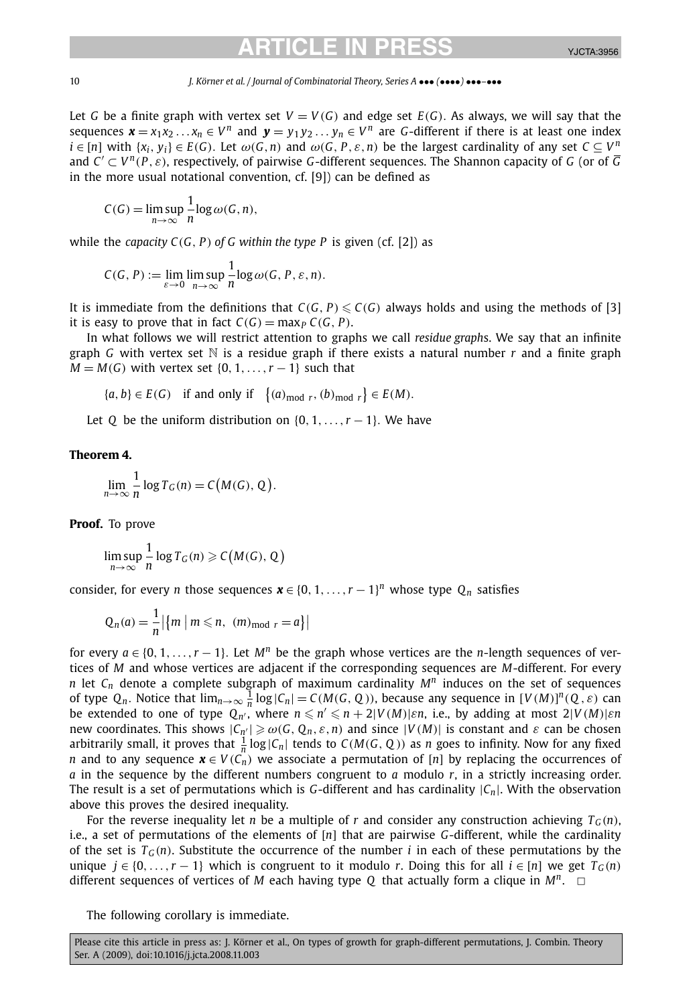10 *J. Körner et al. / Journal of Combinatorial Theory, Series A* ••• *(*••••*)* •••*–*•••

Let *G* be a finite graph with vertex set  $V = V(G)$  and edge set  $E(G)$ . As always, we will say that the sequences  $\mathbf{x} = x_1 x_2 \dots x_n \in V^n$  and  $\mathbf{y} = y_1 y_2 \dots y_n \in V^n$  are *G*-different if there is at least one index  $i \in [n]$  with  $\{x_i, y_i\} \in E(G)$ . Let  $\omega(G, n)$  and  $\omega(G, P, \varepsilon, n)$  be the largest cardinality of any set  $C \subset V^n$ and  $C' \subset V^n(P, \varepsilon)$ , respectively, of pairwise *G*-different sequences. The Shannon capacity of *G* (or of  $\overline{G}$ in the more usual notational convention, cf. [9]) can be defined as

$$
C(G) = \limsup_{n \to \infty} \frac{1}{n} \log \omega(G, n),
$$

while the *capacity*  $C(G, P)$  of G within the type P is given (cf. [2]) as

$$
C(G, P) := \lim_{\varepsilon \to 0} \limsup_{n \to \infty} \frac{1}{n} \log \omega(G, P, \varepsilon, n).
$$

It is immediate from the definitions that  $C(G, P) \leqslant C(G)$  always holds and using the methods of [3] it is easy to prove that in fact  $C(G) = \max_{P} C(G, P)$ .

In what follows we will restrict attention to graphs we call *residue graph*s. We say that an infinite graph *G* with vertex set  $\mathbb N$  is a residue graph if there exists a natural number *r* and a finite graph  $M = M(G)$  with vertex set  $\{0, 1, \ldots, r - 1\}$  such that

$$
\{a, b\} \in E(G) \quad \text{if and only if} \quad \left\{(a)_{\text{mod } r}, (b)_{\text{mod } r}\right\} \in E(M).
$$

Let *Q* be the uniform distribution on  $\{0, 1, \ldots, r - 1\}$ . We have

### **Theorem 4.**

$$
\lim_{n \to \infty} \frac{1}{n} \log T_G(n) = C(M(G), Q).
$$

**Proof.** To prove

$$
\limsup_{n\to\infty}\frac{1}{n}\log T_G(n)\geqslant C(M(G),Q)
$$

consider, for every *n* those sequences  $\boldsymbol{x} \in \{0, 1, ..., r - 1\}^n$  whose type  $Q_n$  satisfies

$$
Q_n(a) = \frac{1}{n} \left| \left\{ m \mid m \leq n, \ (m)_{\text{mod } r} = a \right\} \right|
$$

for every  $a \in \{0, 1, \ldots, r - 1\}$ . Let  $M^n$  be the graph whose vertices are the *n*-length sequences of vertices of *M* and whose vertices are adjacent if the corresponding sequences are *M*-different. For every *n* let  $C_n$  denote a complete subgraph of maximum cardinality  $M^n$  induces on the set of sequences of type  $Q_n$ . Notice that  $\lim_{n\to\infty}\frac{1}{n}\log|\mathcal{C}_n| = C(M(\mathcal{G}, Q))$ , because any sequence in  $[V(M)]^n(Q, \varepsilon)$  can be extended to one of type  $Q_{n'}$ , where  $n \leq n' \leq n + 2|V(M)|\varepsilon n$ , i.e., by adding at most  $2|V(M)|\varepsilon n$ new coordinates. This shows  $|C_{n'}| \ge \omega(G, Q_n, \varepsilon, n)$  and since  $|V(M)|$  is constant and  $\varepsilon$  can be chosen arbitrarily small, it proves that  $\frac{1}{n} \log |C_n|$  tends to  $C(M(G, Q))$  as *n* goes to infinity. Now for any fixed *n* and to any sequence  $\mathbf{x} \in V(C_n)$  we associate a permutation of [*n*] by replacing the occurrences of *a* in the sequence by the different numbers congruent to *a* modulo *r*, in a strictly increasing order. The result is a set of permutations which is *G*-different and has cardinality |*Cn*|. With the observation above this proves the desired inequality.

For the reverse inequality let *n* be a multiple of *r* and consider any construction achieving  $T_G(n)$ , i.e., a set of permutations of the elements of [*n*] that are pairwise *G*-different, while the cardinality of the set is  $T_G(n)$ . Substitute the occurrence of the number *i* in each of these permutations by the unique *j* ∈ {0,...,*r* − 1} which is congruent to it modulo *r*. Doing this for all *i* ∈ [*n*] we get  $T_G(n)$ different sequences of vertices of *M* each having type *Q* that actually form a clique in  $M^n$ .  $\Box$ 

The following corollary is immediate.